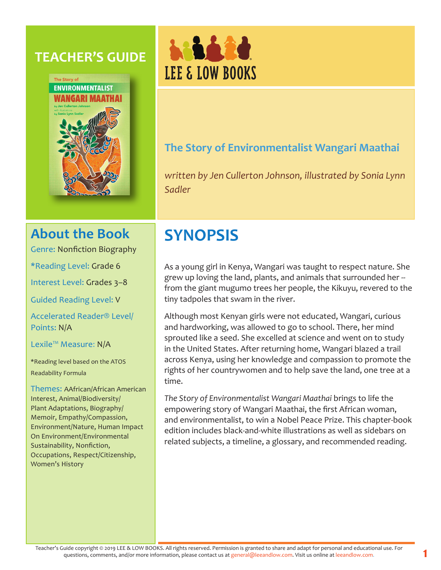## **TEACHER'S GUIDE**





## **The Story of Environmentalist Wangari Maathai**

*written by Jen Cullerton Johnson, illustrated by Sonia Lynn Sadler*

## **About the Book**

Genre: Nonfiction Biography

\*Reading Level: Grade 6

Interest Level: Grades 3–8

Guided Reading Level: V

Accelerated Reader® Level/ Points: N/A

Lexile™ Measure: N/A

\*Reading level based on the ATOS Readability Formula

Themes: AAfrican/African American Interest, Animal/Biodiversity/ Plant Adaptations, Biography/ Memoir, Empathy/Compassion, Environment/Nature, Human Impact On Environment/Environmental Sustainability, Nonfiction, Occupations, Respect/Citizenship, Women's History

# **SYNOPSIS**

As a young girl in Kenya, Wangari was taught to respect nature. She grew up loving the land, plants, and animals that surrounded her - from the giant mugumo trees her people, the Kikuyu, revered to the tiny tadpoles that swam in the river.

Although most Kenyan girls were not educated, Wangari, curious and hardworking, was allowed to go to school. There, her mind sprouted like a seed. She excelled at science and went on to study in the United States. After returning home, Wangari blazed a trail across Kenya, using her knowledge and compassion to promote the rights of her countrywomen and to help save the land, one tree at a time.

*The Story of Environmentalist Wangari Maathai* brings to life the empowering story of Wangari Maathai, the first African woman, and environmentalist, to win a Nobel Peace Prize. This chapter-book edition includes black-and-white illustrations as well as sidebars on related subjects, a timeline, a glossary, and recommended reading.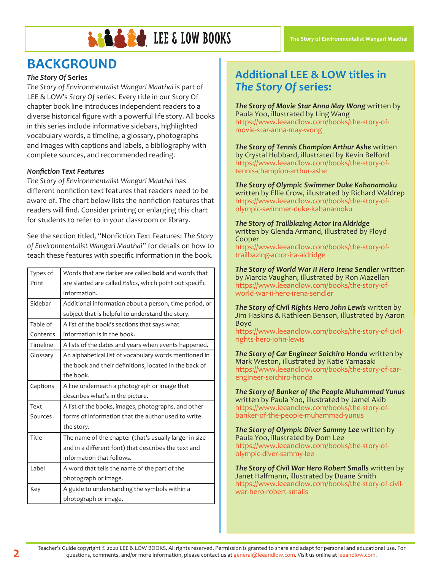

## **BACKGROUND**

#### *The Story Of* **Series**

*The Story of Environmentalist Wangari Maathai* is part of LEE & LOW's *Story Of* series. Every title in our Story Of chapter book line introduces independent readers to a diverse historical figure with a powerful life story. All books in this series include informative sidebars, highlighted vocabulary words, a timeline, a glossary, photographs and images with captions and labels, a bibliography with complete sources, and recommended reading.

#### *Nonfiction Text Features*

*The Story of Environmentalist Wangari Maathai* has different nonfiction text features that readers need to be aware of. The chart below lists the nonfiction features that readers will find. Consider printing or enlarging this chart for students to refer to in your classroom or library.

See the section titled, "Nonfiction Text Features: *The Story of Environmentalist Wangari Maathai*" for details on how to teach these features with specific information in the book.

| Types of | Words that are darker are called <b>bold</b> and words that      |
|----------|------------------------------------------------------------------|
| Print    | are slanted are called <i>italics</i> , which point out specific |
|          | information.                                                     |
| Sidebar  | Additional information about a person, time period, or           |
|          | subject that is helpful to understand the story.                 |
| Table of | A list of the book's sections that says what                     |
| Contents | information is in the book.                                      |
| Timeline | A lists of the dates and years when events happened.             |
| Glossary | An alphabetical list of vocabulary words mentioned in            |
|          | the book and their definitions, located in the back of           |
|          | the book.                                                        |
| Captions | A line underneath a photograph or image that                     |
|          | describes what's in the picture.                                 |
| Text     | A list of the books, images, photographs, and other              |
| Sources  | forms of information that the author used to write               |
|          | the story.                                                       |
| Title    | The name of the chapter (that's usually larger in size           |
|          | and in a different font) that describes the text and             |
|          | information that follows.                                        |
| Label    | A word that tells the name of the part of the                    |
|          | photograph or image.                                             |
| Key      | A guide to understanding the symbols within a                    |
|          | photograph or image.                                             |

### **Additional LEE & LOW titles in**  *The Story Of* **series:**

*The Story of Movie Star Anna May Wong* written by Paula Yoo, illustrated by Ling Wang https://www.leeandlow.com/books/the-story-ofmovie-star-anna-may-wong

*The Story of Tennis Champion Arthur Ashe* written by Crystal Hubbard, illustrated by Kevin Belford https://www.leeandlow.com/books/the-story-oftennis-champion-arthur-ashe

*The Story of Olympic Swimmer Duke Kahanamoku*  written by Ellie Crow, illustrated by Richard Waldrep https://www.leeandlow.com/books/the-story-ofolympic-swimmer-duke-kahanamoku

*The Story of Trailblazing Actor Ira Aldridge*  written by Glenda Armand, illustrated by Floyd Cooper https://www.leeandlow.com/books/the-story-of-

trailbazing-actor-ira-aldridge

*The Story of World War II Hero Irena Sendler* written by Marcia Vaughan, illustrated by Ron Mazellan https://www.leeandlow.com/books/the-story-ofworld-war-ii-hero-irena-sendler

*The Story of Civil Rights Hero John Lewis* written by Jim Haskins & Kathleen Benson, illustrated by Aaron Boyd https://www.leeandlow.com/books/the-story-of-civilrights-hero-john-lewis

*The Story of Car Engineer Soichiro Honda* written by Mark Weston, illustrated by Katie Yamasaki https://www.leeandlow.com/books/the-story-of-carengineer-soichiro-honda

*The Story of Banker of the People Muhammad Yunus*  written by Paula Yoo, illustrated by Jamel Akib https://www.leeandlow.com/books/the-story-ofbanker-of-the-people-muhammad-yunus

*The Story of Olympic Diver Sammy Lee* written by Paula Yoo, illustrated by Dom Lee https://www.leeandlow.com/books/the-story-ofolympic-diver-sammy-lee

*The Story of Civil War Hero Robert Smalls* written by Janet Halfmann, illustrated by Duane Smith https://www.leeandlow.com/books/the-story-of-civilwar-hero-robert-smalls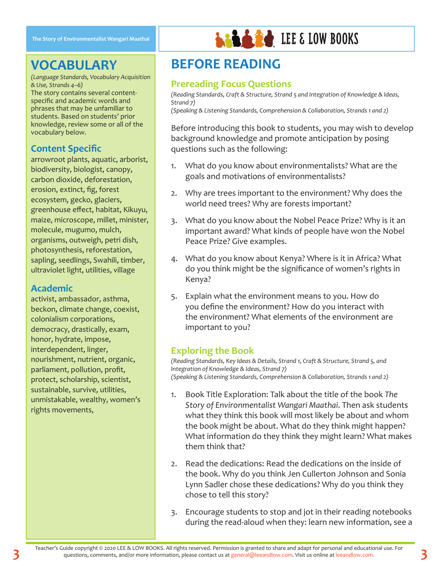## **VOCABULARY**

*(Language Standards, Vocabulary Acquisition & Use, Strands 4–6)* The story contains several contentspecific and academic words and phrases that may be unfamiliar to students. Based on students' prior knowledge, review some or all of the vocabulary below.

### **Content Specific**

arrowroot plants, aquatic, arborist, biodiversity, biologist, canopy, carbon dioxide, deforestation, erosion, extinct, fig, forest ecosystem, gecko, glaciers, greenhouse effect, habitat, Kikuyu, maize, microscope, millet, minister, molecule, mugumo, mulch, organisms, outweigh, petri dish, photosynthesis, reforestation, sapling, seedlings, Swahili, timber, ultraviolet light, utilities, village

#### **Academic**

**3**

activist, ambassador, asthma, beckon, climate change, coexist, colonialism corporations, democracy, drastically, exam, honor, hydrate, impose, interdependent, linger, nourishment, nutrient, organic, parliament, pollution, profit, protect, scholarship, scientist, sustainable, survive, utilities, unmistakable, wealthy, women's rights movements,

## **BEFORE READING**

#### **Prereading Focus Questions**

*(Reading Standards, Craft & Structure, Strand 5 and Integration of Knowledge & Ideas, Strand 7) (Speaking & Listening Standards, Comprehension & Collaboration, Strands 1 and 2)*

**LED & 2d** LEE & LOW BOOKS

Before introducing this book to students, you may wish to develop background knowledge and promote anticipation by posing questions such as the following:

- 1. What do you know about environmentalists? What are the goals and motivations of environmentalists?
- 2. Why are trees important to the environment? Why does the world need trees? Why are forests important?
- 3. What do you know about the Nobel Peace Prize? Why is it an important award? What kinds of people have won the Nobel Peace Prize? Give examples.
- 4. What do you know about Kenya? Where is it in Africa? What do you think might be the significance of women's rights in Kenya?
- 5. Explain what the environment means to you. How do you define the environment? How do you interact with the environment? What elements of the environment are important to you?

#### **Exploring the Book**

*(Reading Standards, Key Ideas & Details, Strand 1, Craft & Structure, Strand 5, and Integration of Knowledge & Ideas, Strand 7) (Speaking & Listening Standards, Comprehension & Collaboration, Strands 1 and 2)*

- 1. Book Title Exploration: Talk about the title of the book *The Story of Environmentalist Wangari Maathai*. Then ask students what they think this book will most likely be about and whom the book might be about. What do they think might happen? What information do they think they might learn? What makes them think that?
- 2. Read the dedications: Read the dedications on the inside of the book. Why do you think Jen Cullerton Johnson and Sonia Lynn Sadler chose these dedications? Why do you think they chose to tell this story?
- 3. Encourage students to stop and jot in their reading notebooks during the read-aloud when they: learn new information, see a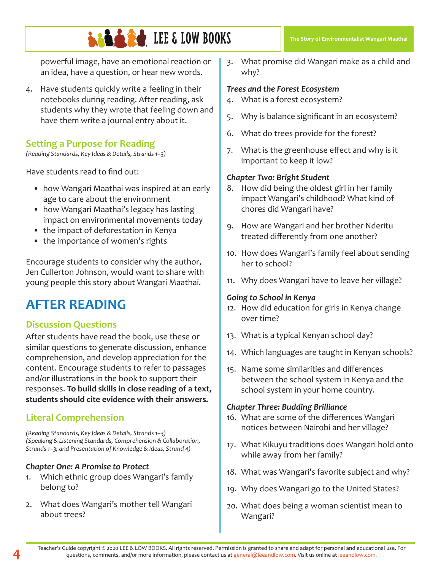powerful image, have an emotional reaction or an idea, have a question, or hear new words.

4. Have students quickly write a feeling in their notebooks during reading. After reading, ask students why they wrote that feeling down and have them write a journal entry about it.

#### **Setting a Purpose for Reading**

*(Reading Standards, Key Ideas & Details, Strands 1–3)*

Have students read to find out:

- how Wangari Maathai was inspired at an early age to care about the environment
- how Wangari Maathai's legacy has lasting impact on environmental movements today
- the impact of deforestation in Kenya
- the importance of women's rights

Encourage students to consider why the author, Jen Cullerton Johnson, would want to share with young people this story about Wangari Maathai.

## **AFTER READING**

#### **Discussion Questions**

After students have read the book, use these or similar questions to generate discussion, enhance comprehension, and develop appreciation for the content. Encourage students to refer to passages and/or illustrations in the book to support their responses. **To build skills in close reading of a text, students should cite evidence with their answers.**

### **Literal Comprehension**

*(Reading Standards, Key Ideas & Details, Strands 1–3) (Speaking & Listening Standards, Comprehension & Collaboration, Strands 1–3; and Presentation of Knowledge & Ideas, Strand 4)*

#### *Chapter One: A Promise to Protect*

- 1. Which ethnic group does Wangari's family belong to?
- 2. What does Wangari's mother tell Wangari about trees?

3. What promise did Wangari make as a child and why?

#### *Trees and the Forest Ecosystem*

- 4. What is a forest ecosystem?
- 5. Why is balance significant in an ecosystem?
- 6. What do trees provide for the forest?
- 7. What is the greenhouse effect and why is it important to keep it low?

#### *Chapter Two: Bright Student*

- 8. How did being the oldest girl in her family impact Wangari's childhood? What kind of chores did Wangari have?
- 9. How are Wangari and her brother Nderitu treated differently from one another?
- 10. How does Wangari's family feel about sending her to school?
- 11. Why does Wangari have to leave her village?

#### *Going to School in Kenya*

- 12. How did education for girls in Kenya change over time?
- 13. What is a typical Kenyan school day?
- 14. Which languages are taught in Kenyan schools?
- 15. Name some similarities and differences between the school system in Kenya and the school system in your home country.

#### *Chapter Three: Budding Brilliance*

- 16. What are some of the differences Wangari notices between Nairobi and her village?
- 17. What Kikuyu traditions does Wangari hold onto while away from her family?
- 18. What was Wangari's favorite subject and why?
- 19. Why does Wangari go to the United States?
- 20. What does being a woman scientist mean to Wangari?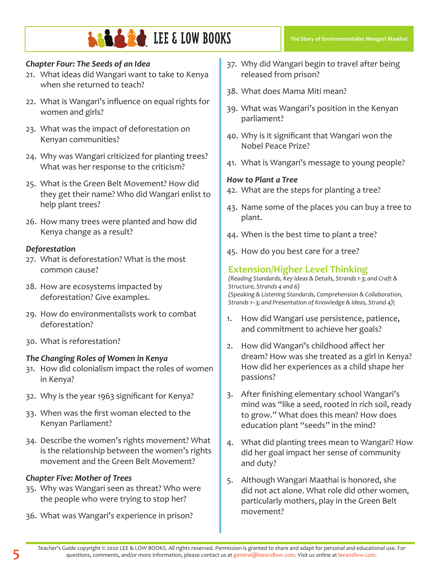#### *Chapter Four: The Seeds of an Idea*

- 21. What ideas did Wangari want to take to Kenya when she returned to teach?
- 22. What is Wangari's influence on equal rights for women and girls?
- 23. What was the impact of deforestation on Kenyan communities?
- 24. Why was Wangari criticized for planting trees? What was her response to the criticism?
- 25. What is the Green Belt Movement? How did they get their name? Who did Wangari enlist to help plant trees?
- 26. How many trees were planted and how did Kenya change as a result?

#### *Deforestation*

- 27. What is deforestation? What is the most common cause?
- 28. How are ecosystems impacted by deforestation? Give examples.
- 29. How do environmentalists work to combat deforestation?
- 30. What is reforestation?

#### *The Changing Roles of Women in Kenya*

- 31. How did colonialism impact the roles of women in Kenya?
- 32. Why is the year 1963 significant for Kenya?
- 33. When was the first woman elected to the Kenyan Parliament?
- 34. Describe the women's rights movement? What is the relationship between the women's rights movement and the Green Belt Movement?

#### *Chapter Five: Mother of Trees*

- 35. Why was Wangari seen as threat? Who were the people who were trying to stop her?
- 36. What was Wangari's experience in prison?
- 37. Why did Wangari begin to travel after being released from prison?
- 38. What does Mama Miti mean?
- 39. What was Wangari's position in the Kenyan parliament?
- 40. Why is it significant that Wangari won the Nobel Peace Prize?
- 41. What is Wangari's message to young people?

#### *How to Plant a Tree*

- 42. What are the steps for planting a tree?
- 43. Name some of the places you can buy a tree to plant.
- 44. When is the best time to plant a tree?
- 45. How do you best care for a tree?

### **Extension/Higher Level Thinking**

*(Reading Standards, Key Ideas & Details, Strands 1-3; and Craft & Structure, Strands 4 and 6) (Speaking & Listening Standards, Comprehension & Collaboration, Strands 1–3; and Presentation of Knowledge & Ideas, Strand 4)\*

- 1. How did Wangari use persistence, patience, and commitment to achieve her goals?
- 2. How did Wangari's childhood affect her dream? How was she treated as a girl in Kenya? How did her experiences as a child shape her passions?
- 3. After finishing elementary school Wangari's mind was "like a seed, rooted in rich soil, ready to grow." What does this mean? How does education plant "seeds" in the mind?
- 4. What did planting trees mean to Wangari? How did her goal impact her sense of community and duty?
- 5. Although Wangari Maathai is honored, she did not act alone. What role did other women, particularly mothers, play in the Green Belt movement?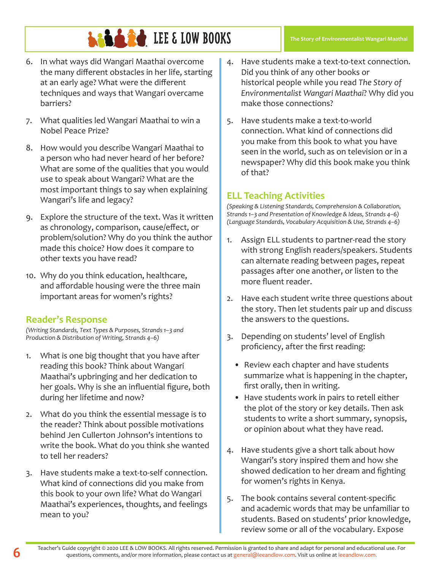- 6. In what ways did Wangari Maathai overcome the many different obstacles in her life, starting at an early age? What were the different techniques and ways that Wangari overcame barriers?
- 7. What qualities led Wangari Maathai to win a Nobel Peace Prize?
- 8. How would you describe Wangari Maathai to a person who had never heard of her before? What are some of the qualities that you would use to speak about Wangari? What are the most important things to say when explaining Wangari's life and legacy?
- 9. Explore the structure of the text. Was it written as chronology, comparison, cause/effect, or problem/solution? Why do you think the author made this choice? How does it compare to other texts you have read?
- 10. Why do you think education, healthcare, and affordable housing were the three main important areas for women's rights?

### **Reader's Response**

*(Writing Standards, Text Types & Purposes, Strands 1–3 and Production & Distribution of Writing, Strands 4–6)*

- 1. What is one big thought that you have after reading this book? Think about Wangari Maathai's upbringing and her dedication to her goals. Why is she an influential figure, both during her lifetime and now?
- 2. What do you think the essential message is to the reader? Think about possible motivations behind Jen Cullerton Johnson's intentions to write the book. What do you think she wanted to tell her readers?
- 3. Have students make a text-to-self connection. What kind of connections did you make from this book to your own life? What do Wangari Maathai's experiences, thoughts, and feelings mean to you?
- 4. Have students make a text-to-text connection. Did you think of any other books or historical people while you read *The Story of Environmentalist Wangari Maathai*? Why did you make those connections?
- 5. Have students make a text-to-world connection. What kind of connections did you make from this book to what you have seen in the world, such as on television or in a newspaper? Why did this book make you think of that?

### **ELL Teaching Activities**

*(Speaking & Listening Standards, Comprehension & Collaboration, Strands 1–3 and Presentation of Knowledge & Ideas, Strands 4–6) (Language Standards, Vocabulary Acquisition & Use, Strands 4–6)*

- 1. Assign ELL students to partner-read the story with strong English readers/speakers. Students can alternate reading between pages, repeat passages after one another, or listen to the more fluent reader.
- 2. Have each student write three questions about the story. Then let students pair up and discuss the answers to the questions.
- 3. Depending on students' level of English proficiency, after the first reading:
	- Review each chapter and have students summarize what is happening in the chapter, first orally, then in writing.
	- Have students work in pairs to retell either the plot of the story or key details. Then ask students to write a short summary, synopsis, or opinion about what they have read.
- 4. Have students give a short talk about how Wangari's story inspired them and how she showed dedication to her dream and fighting for women's rights in Kenya.
- 5. The book contains several content-specific and academic words that may be unfamiliar to students. Based on students' prior knowledge, review some or all of the vocabulary. Expose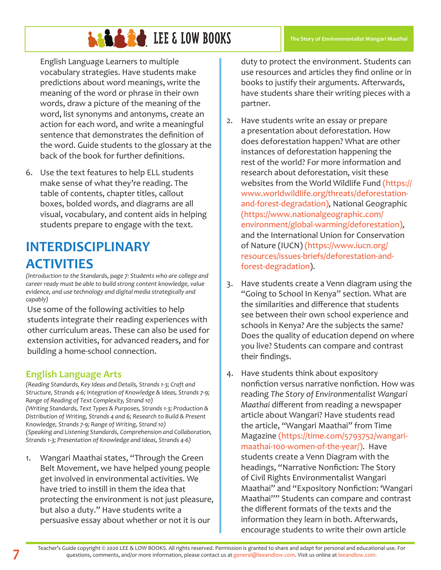English Language Learners to multiple vocabulary strategies. Have students make predictions about word meanings, write the meaning of the word or phrase in their own words, draw a picture of the meaning of the word, list synonyms and antonyms, create an action for each word, and write a meaningful sentence that demonstrates the definition of the word. Guide students to the glossary at the back of the book for further definitions.

6. Use the text features to help ELL students make sense of what they're reading. The table of contents, chapter titles, callout boxes, bolded words, and diagrams are all visual, vocabulary, and content aids in helping students prepare to engage with the text.

## **INTERDISCIPLINARY ACTIVITIES**

*(Introduction to the Standards, page 7: Students who are college and career ready must be able to build strong content knowledge, value evidence, and use technology and digital media strategically and capably)*

Use some of the following activities to help students integrate their reading experiences with other curriculum areas. These can also be used for extension activities, for advanced readers, and for building a home-school connection.

### **English Language Arts**

*(Reading Standards, Key Ideas and Details, Strands 1-3; Craft and Structure, Strands 4-6; Integration of Knowledge & Ideas, Strands 7-9; Range of Reading of Text Complexity, Strand 10) (Writing Standards, Text Types & Purposes, Strands 1-3; Production & Distribution of Writing, Strands 4 and 6; Research to Build & Present Knowledge, Strands 7-9; Range of Writing, Strand 10) (Speaking and Listening Standards, Comprehension and Collaboration, Strands 1-3; Presentation of Knowledge and Ideas, Strands 4-6)*

1. Wangari Maathai states, "Through the Green Belt Movement, we have helped young people get involved in environmental activities. We have tried to instill in them the idea that protecting the environment is not just pleasure, but also a duty." Have students write a persuasive essay about whether or not it is our

duty to protect the environment. Students can use resources and articles they find online or in books to justify their arguments. Afterwards, have students share their writing pieces with a partner.

- 2. Have students write an essay or prepare a presentation about deforestation. How does deforestation happen? What are other instances of deforestation happening the rest of the world? For more information and research about deforestation, visit these websites from the World Wildlife Fund (https:// www.worldwildlife.org/threats/deforestationand-forest-degradation), National Geographic (https://www.nationalgeographic.com/ environment/global-warming/deforestation), and the International Union for Conservation of Nature (IUCN) (https://www.iucn.org/ resources/issues-briefs/deforestation-andforest-degradation).
- 3. Have students create a Venn diagram using the "Going to School In Kenya" section. What are the similarities and difference that students see between their own school experience and schools in Kenya? Are the subjects the same? Does the quality of education depend on where you live? Students can compare and contrast their findings.
- 4. Have students think about expository nonfiction versus narrative nonfiction. How was reading *The Story of Environmentalist Wangari Maathai* different from reading a newspaper article about Wangari? Have students read the article, "Wangari Maathai" from Time Magazine (https://time.com/5793752/wangarimaathai-100-women-of-the-year/). Have students create a Venn Diagram with the headings, "Narrative Nonfiction: The Story of Civil Rights Environmentalist Wangari Maathai" and "Expository Nonfiction: 'Wangari Maathai''" Students can compare and contrast the different formats of the texts and the information they learn in both. Afterwards, encourage students to write their own article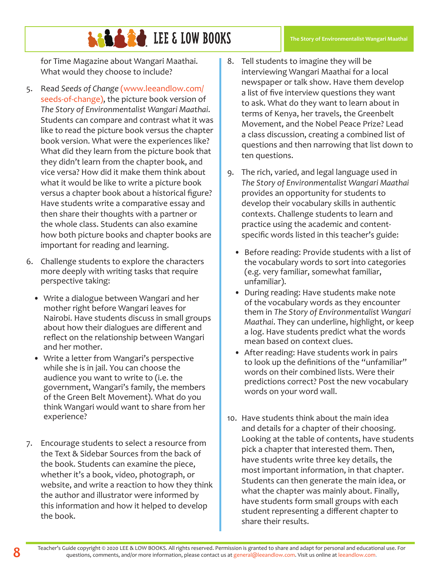for Time Magazine about Wangari Maathai. What would they choose to include?

- 5. Read *Seeds of Change* (www.leeandlow.com/ seeds-of-change), the picture book version of *The Story of Environmentalist Wangari Maathai*. Students can compare and contrast what it was like to read the picture book versus the chapter book version. What were the experiences like? What did they learn from the picture book that they didn't learn from the chapter book, and vice versa? How did it make them think about what it would be like to write a picture book versus a chapter book about a historical figure? Have students write a comparative essay and then share their thoughts with a partner or the whole class. Students can also examine how both picture books and chapter books are important for reading and learning.
- 6. Challenge students to explore the characters more deeply with writing tasks that require perspective taking:
	- Write a dialogue between Wangari and her mother right before Wangari leaves for Nairobi. Have students discuss in small groups about how their dialogues are different and reflect on the relationship between Wangari and her mother.
	- Write a letter from Wangari's perspective while she is in jail. You can choose the audience you want to write to (i.e. the government, Wangari's family, the members of the Green Belt Movement). What do you think Wangari would want to share from her experience?
- 7. Encourage students to select a resource from the Text & Sidebar Sources from the back of the book. Students can examine the piece, whether it's a book, video, photograph, or website, and write a reaction to how they think the author and illustrator were informed by this information and how it helped to develop the book.
- 8. Tell students to imagine they will be interviewing Wangari Maathai for a local newspaper or talk show. Have them develop a list of five interview questions they want to ask. What do they want to learn about in terms of Kenya, her travels, the Greenbelt Movement, and the Nobel Peace Prize? Lead a class discussion, creating a combined list of questions and then narrowing that list down to ten questions.
- 9. The rich, varied, and legal language used in *The Story of Environmentalist Wangari Maathai* provides an opportunity for students to develop their vocabulary skills in authentic contexts. Challenge students to learn and practice using the academic and contentspecific words listed in this teacher's guide:
	- Before reading: Provide students with a list of the vocabulary words to sort into categories (e.g. very familiar, somewhat familiar, unfamiliar).
	- During reading: Have students make note of the vocabulary words as they encounter them in *The Story of Environmentalist Wangari Maathai*. They can underline, highlight, or keep a log. Have students predict what the words mean based on context clues.
	- After reading: Have students work in pairs to look up the definitions of the "unfamiliar" words on their combined lists. Were their predictions correct? Post the new vocabulary words on your word wall.
- 10. Have students think about the main idea and details for a chapter of their choosing. Looking at the table of contents, have students pick a chapter that interested them. Then, have students write three key details, the most important information, in that chapter. Students can then generate the main idea, or what the chapter was mainly about. Finally, have students form small groups with each student representing a different chapter to share their results.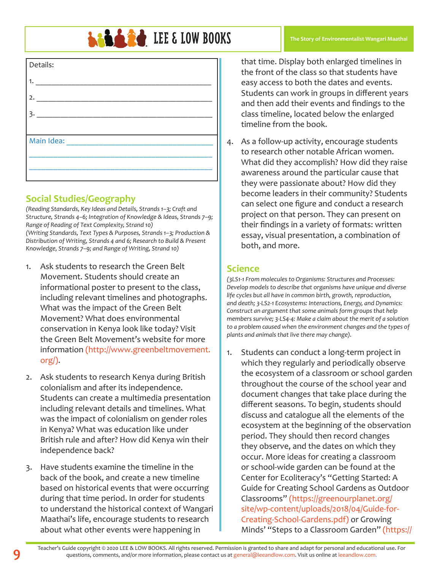# **LEADER IN BOOKS**

| Details:   |  |
|------------|--|
| 1.         |  |
| 2.         |  |
| 3.         |  |
|            |  |
| Main Idea: |  |
|            |  |
|            |  |

### **Social Studies/Geography**

*(Reading Standards, Key Ideas and Details, Strands 1–3; Craft and Structure, Strands 4–6; Integration of Knowledge & Ideas, Strands 7–9; Range of Reading of Text Complexity, Strand 10) (Writing Standards, Text Types & Purposes, Strands 1–3; Production & Distribution of Writing, Strands 4 and 6; Research to Build & Present Knowledge, Strands 7–9; and Range of Writing, Strand 10)*

- 1. Ask students to research the Green Belt Movement. Students should create an informational poster to present to the class, including relevant timelines and photographs. What was the impact of the Green Belt Movement? What does environmental conservation in Kenya look like today? Visit the Green Belt Movement's website for more information (http://www.greenbeltmovement. org/).
- 2. Ask students to research Kenya during British colonialism and after its independence. Students can create a multimedia presentation including relevant details and timelines. What was the impact of colonialism on gender roles in Kenya? What was education like under British rule and after? How did Kenya win their independence back?
- 3. Have students examine the timeline in the back of the book, and create a new timeline based on historical events that were occurring during that time period. In order for students to understand the historical context of Wangari Maathai's life, encourage students to research about what other events were happening in

that time. Display both enlarged timelines in the front of the class so that students have easy access to both the dates and events. Students can work in groups in different years and then add their events and findings to the class timeline, located below the enlarged timeline from the book.

**The Story of Environmentalist Wangari Maathai**

4. As a follow-up activity, encourage students to research other notable African women. What did they accomplish? How did they raise awareness around the particular cause that they were passionate about? How did they become leaders in their community? Students can select one figure and conduct a research project on that person. They can present on their findings in a variety of formats: written essay, visual presentation, a combination of both, and more.

#### **Science**

*(3LS1-1 From molecules to Organisms: Structures and Processes: Develop models to describe that organisms have unique and diverse life cycles but all have in common birth, growth, reproduction, and death; 3-LS2-1 Ecosystems: Interactions, Energy, and Dynamics: Construct an argument that some animals form groups that help members survive; 3-LS4-4: Make a claim about the merit of a solution to a problem caused when the environment changes and the types of plants and animals that live there may change).* 

1. Students can conduct a long-term project in which they regularly and periodically observe the ecosystem of a classroom or school garden throughout the course of the school year and document changes that take place during the different seasons. To begin, students should discuss and catalogue all the elements of the ecosystem at the beginning of the observation period. They should then record changes they observe, and the dates on which they occur. More ideas for creating a classroom or school-wide garden can be found at the Center for Ecoliteracy's "Getting Started: A Guide for Creating School Gardens as Outdoor Classrooms" (https://greenourplanet.org/ site/wp-content/uploads/2018/04/Guide-for-Creating-School-Gardens.pdf) or Growing Minds' "Steps to a Classroom Garden" (https://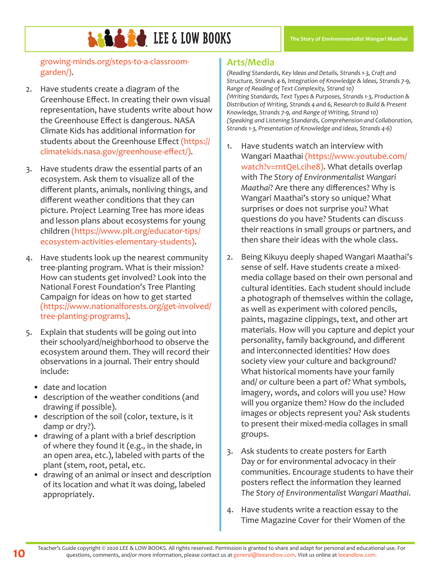growing-minds.org/steps-to-a-classroomgarden/).

- 2. Have students create a diagram of the Greenhouse Effect. In creating their own visual representation, have students write about how the Greenhouse Effect is dangerous. NASA Climate Kids has additional information for students about the Greenhouse Effect (https:// climatekids.nasa.gov/greenhouse-effect/).
- 3. Have students draw the essential parts of an ecosystem. Ask them to visualize all of the different plants, animals, nonliving things, and different weather conditions that they can picture. Project Learning Tree has more ideas and lesson plans about ecosystems for young children (https://www.plt.org/educator-tips/ ecosystem-activities-elementary-students).
- 4. Have students look up the nearest community tree-planting program. What is their mission? How can students get involved? Look into the National Forest Foundation's Tree Planting Campaign for ideas on how to get started (https://www.nationalforests.org/get-involved/ tree-planting-programs).
- 5. Explain that students will be going out into their schoolyard/neighborhood to observe the ecosystem around them. They will record their observations in a journal. Their entry should include:
	- date and location
	- description of the weather conditions (and drawing if possible).
	- description of the soil (color, texture, is it damp or dry?).
	- drawing of a plant with a brief description of where they found it (e.g., in the shade, in an open area, etc.), labeled with parts of the plant (stem, root, petal, etc.
	- drawing of an animal or insect and description of its location and what it was doing, labeled appropriately.

### **Arts/Media**

*(Reading Standards, Key Ideas and Details, Strands 1-3, Craft and Structure, Strands 4-6, Integration of Knowledge & Ideas, Strands 7-9, Range of Reading of Text Complexity, Strand 10) (Writing Standards, Text Types & Purposes, Strands 1-3, Production & Distribution of Writing, Strands 4 and 6, Research to Build & Present Knowledge, Strands 7-9, and Range of Writing, Strand 10) (Speaking and Listening Standards, Comprehension and Collaboration, Strands 1-3, Presentation of Knowledge and Ideas, Strands 4-6)*

- 1. Have students watch an interview with Wangari Maathai (https://www.youtube.com/ watch?v=rntQeLcihe8). What details overlap with *The Story of Environmentalist Wangari Maathai*? Are there any differences? Why is Wangari Maathai's story so unique? What surprises or does not surprise you? What questions do you have? Students can discuss their reactions in small groups or partners, and then share their ideas with the whole class.
- 2. Being Kikuyu deeply shaped Wangari Maathai's sense of self. Have students create a mixedmedia collage based on their own personal and cultural identities. Each student should include a photograph of themselves within the collage, as well as experiment with colored pencils, paints, magazine clippings, text, and other art materials. How will you capture and depict your personality, family background, and different and interconnected identities? How does society view your culture and background? What historical moments have your family and/ or culture been a part of? What symbols, imagery, words, and colors will you use? How will you organize them? How do the included images or objects represent you? Ask students to present their mixed-media collages in small groups.
- 3. Ask students to create posters for Earth Day or for environmental advocacy in their communities. Encourage students to have their posters reflect the information they learned *The Story of Environmentalist Wangari Maathai*.
- 4. Have students write a reaction essay to the Time Magazine Cover for their Women of the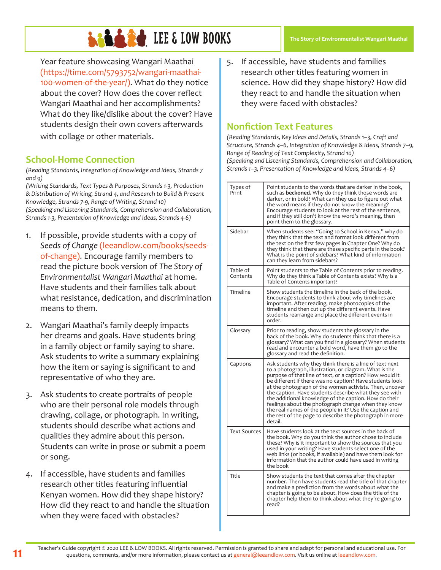Year feature showcasing Wangari Maathai (https://time.com/5793752/wangari-maathai-100-women-of-the-year/). What do they notice about the cover? How does the cover reflect Wangari Maathai and her accomplishments? What do they like/dislike about the cover? Have students design their own covers afterwards with collage or other materials.

### **School-Home Connection**

*(Reading Standards, Integration of Knowledge and Ideas, Strands 7 and 9)*

*(Writing Standards, Text Types & Purposes, Strands 1-3, Production & Distribution of Writing, Strand 4, and Research to Build & Present Knowledge, Strands 7-9, Range of Writing, Strand 10) (Speaking and Listening Standards, Comprehension and Collaboration, Strands 1-3, Presentation of Knowledge and Ideas, Strands 4-6)*

- 1. If possible, provide students with a copy of *Seeds of Change* (leeandlow.com/books/seedsof-change). Encourage family members to read the picture book version of *The Story of Environmentalist Wangari Maathai* at home. Have students and their families talk about what resistance, dedication, and discrimination means to them.
- 2. Wangari Maathai's family deeply impacts her dreams and goals. Have students bring in a family object or family saying to share. Ask students to write a summary explaining how the item or saying is significant to and representative of who they are.
- 3. Ask students to create portraits of people who are their personal role models through drawing, collage, or photograph. In writing, students should describe what actions and qualities they admire about this person. Students can write in prose or submit a poem or song.
- 4. If accessible, have students and families research other titles featuring influential Kenyan women. How did they shape history? How did they react to and handle the situation when they were faced with obstacles?
- **The Story of Environmentalist Wangari Maathai**
- 5. If accessible, have students and families research other titles featuring women in science. How did they shape history? How did they react to and handle the situation when they were faced with obstacles?

#### **Nonfiction Text Features**

*(Reading Standards, Key Ideas and Details, Strands 1–3, Craft and Structure, Strands 4–6, Integration of Knowledge & Ideas, Strands 7–9, Range of Reading of Text Complexity, Strand 10) (Speaking and Listening Standards, Comprehension and Collaboration, Strands 1–3, Presentation of Knowledge and Ideas, Strands 4–6)*

| Types of<br>Print    | Point students to the words that are darker in the book,<br>such as <b>beckoned.</b> Why do they think those words are<br>darker, or in bold? What can they use to figure out what<br>the word means if they do not know the meaning?<br>Encourage students to look at the rest of the sentence,<br>and if they still don't know the word's meaning, then<br>point them to the glossary.                                                                                                                                                                                                                         |
|----------------------|------------------------------------------------------------------------------------------------------------------------------------------------------------------------------------------------------------------------------------------------------------------------------------------------------------------------------------------------------------------------------------------------------------------------------------------------------------------------------------------------------------------------------------------------------------------------------------------------------------------|
| Sidebar              | When students see: "Going to School in Kenya," why do<br>they think that the text and format look different from<br>the text on the first few pages in Chapter One? Why do<br>they think that there are these specific parts in the book?<br>What is the point of sidebars? What kind of information<br>can they learn from sidebars?                                                                                                                                                                                                                                                                            |
| Table of<br>Contents | Point students to the Table of Contents prior to reading.<br>Why do they think a Table of Contents exists? Why is a<br>Table of Contents important?                                                                                                                                                                                                                                                                                                                                                                                                                                                              |
| Timeline             | Show students the timeline in the back of the book.<br>Encourage students to think about why timelines are<br>important. After reading, make photocopies of the<br>timeline and then cut up the different events. Have<br>students rearrange and place the different events in<br>order.                                                                                                                                                                                                                                                                                                                         |
| Glossary             | Prior to reading, show students the glossary in the<br>back of the book. Why do students think that there is a<br>glossary? What can you find in a glossary? When students<br>read and encounter a bold word, have them go to the<br>glossary and read the definition.                                                                                                                                                                                                                                                                                                                                           |
| Captions             | Ask students why they think there is a line of text next<br>to a photograph, illustration, or diagram. What is the<br>purpose of that line of text, or a caption? How would it<br>be different if there was no caption? Have students look<br>at the photograph of the women activists. Then, uncover<br>the caption. Have students describe what they see with<br>the additional knowledge of the caption. How do their<br>feelings about the photograph change when they know<br>the real names of the people in it? Use the caption and<br>the rest of the page to describe the photograph in more<br>detail. |
| <b>Text Sources</b>  | Have students look at the text sources in the back of<br>the book. Why do you think the author chose to include<br>these? Why is it important to show the sources that you<br>used in your writing? Have students select one of the<br>web links (or books, if available) and have them look for<br>information that the author could have used in writing<br>the book                                                                                                                                                                                                                                           |
| Title                | Show students the text that comes after the chapter<br>number. Then have students read the title of that chapter<br>and make a prediction from the words about what the<br>chapter is going to be about. How does the title of the<br>chapter help them to think about what they're going to<br>read?                                                                                                                                                                                                                                                                                                            |